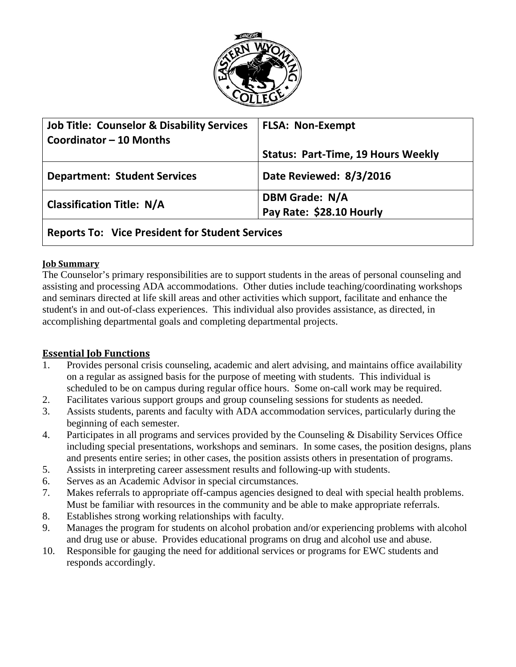

| <b>Job Title: Counselor &amp; Disability Services</b> | <b>FLSA: Non-Exempt</b>                   |
|-------------------------------------------------------|-------------------------------------------|
| Coordinator $-10$ Months                              |                                           |
|                                                       | <b>Status: Part-Time, 19 Hours Weekly</b> |
| <b>Department: Student Services</b>                   | Date Reviewed: 8/3/2016                   |
| <b>Classification Title: N/A</b>                      | <b>DBM Grade: N/A</b>                     |
|                                                       | Pay Rate: \$28.10 Hourly                  |
|                                                       |                                           |

# **Reports To: Vice President for Student Services**

#### **Job Summary**

The Counselor's primary responsibilities are to support students in the areas of personal counseling and assisting and processing ADA accommodations. Other duties include teaching/coordinating workshops and seminars directed at life skill areas and other activities which support, facilitate and enhance the student's in and out-of-class experiences. This individual also provides assistance, as directed, in accomplishing departmental goals and completing departmental projects.

#### **Essential Job Functions**

- 1. Provides personal crisis counseling, academic and alert advising, and maintains office availability on a regular as assigned basis for the purpose of meeting with students. This individual is scheduled to be on campus during regular office hours. Some on-call work may be required.
- 2. Facilitates various support groups and group counseling sessions for students as needed.
- 3. Assists students, parents and faculty with ADA accommodation services, particularly during the beginning of each semester.
- 4. Participates in all programs and services provided by the Counseling & Disability Services Office including special presentations, workshops and seminars. In some cases, the position designs, plans and presents entire series; in other cases, the position assists others in presentation of programs.
- 5. Assists in interpreting career assessment results and following-up with students.
- 6. Serves as an Academic Advisor in special circumstances.
- 7. Makes referrals to appropriate off-campus agencies designed to deal with special health problems. Must be familiar with resources in the community and be able to make appropriate referrals.
- 8. Establishes strong working relationships with faculty.
- 9. Manages the program for students on alcohol probation and/or experiencing problems with alcohol and drug use or abuse. Provides educational programs on drug and alcohol use and abuse.
- 10. Responsible for gauging the need for additional services or programs for EWC students and responds accordingly.